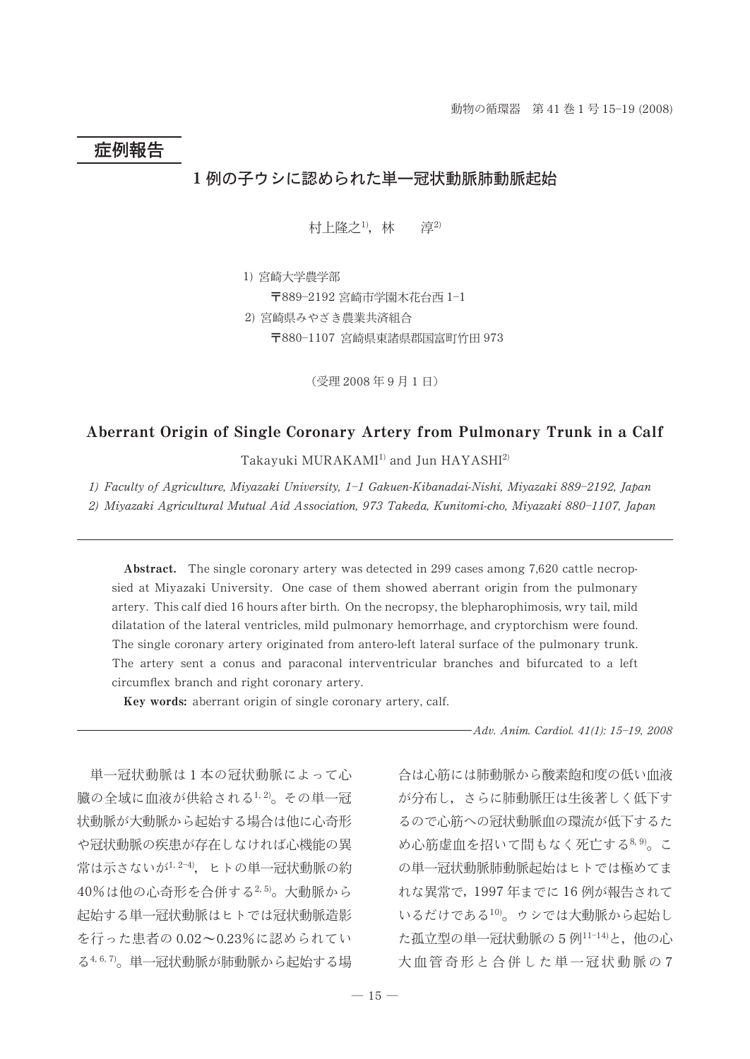# 症例報告

## 1例の子ウシに認められた単一冠状動脈肺動脈起始

村上隆之1), 林 淳2)

1) 宮崎大学農学部 〒889-2192 宮崎市学園木花台西 1-1 2) 宮崎県みやざき農業共済組合 〒880-1107 宮崎県東諸県郡国富町竹田 973

(受理 2008年9月1日)

### Aberrant Origin of Single Coronary Artery from Pulmonary Trunk in a Calf

Takayuki MURAKAMI<sup>1)</sup> and Jun HAYASHI<sup>2)</sup>

1) Faculty of Agriculture, Miyazaki University, 1-1 Gakuen-Kibanadai-Nishi, Miyazaki 889-2192, Japan

2) Miyazaki Agricultural Mutual Aid Association, 973 Takeda, Kunitomi-cho, Miyazaki 880-1107, Japan

Abstract. The single coronary artery was detected in 299 cases among 7,620 cattle necropsied at Miyazaki University. One case of them showed aberrant origin from the pulmonary artery. This calf died 16 hours after birth. On the necropsy, the blepharophimosis, wry tail, mild dilatation of the lateral ventricles, mild pulmonary hemorrhage, and cryptorchism were found. The single coronary artery originated from antero-left lateral surface of the pulmonary trunk. The artery sent a conus and paraconal interventricular branches and bifurcated to a left circumflex branch and right coronary artery.

Key words: aberrant origin of single coronary artery, calf.

-Adv. Anim. Cardiol. 41(1): 15-19, 2008

単一冠状動脈は1本の冠状動脈によって心 臓の全域に血液が供給される1,2)。その単一冠 状動脈が大動脈から起始する場合は他に心奇形 や冠状動脈の疾患が存在しなければ心機能の異 常は示さないが1,2-4), ヒトの単一冠状動脈の約 40%は他の心奇形を合併する2,5)。大動脈から 起始する単一冠状動脈はヒトでは冠状動脈造影 を行った患者の0.02~0.23%に認められてい る4,6,7)。単一冠状動脈が肺動脈から起始する場

合は心筋には肺動脈から酸素飽和度の低い血液 が分布し、さらに肺動脈圧は生後著しく低下す るので心筋への冠状動脈血の環流が低下するた め心筋虚血を招いて間もなく死亡する8,9)。こ の単一冠状動脈肺動脈起始はヒトでは極めてま れな異常で、1997年までに16例が報告されて いるだけである10)。ウシでは大動脈から起始し た孤立型の単一冠状動脈の5例11-14)と、他の心 大血管奇形と合併した単一冠状動脈の7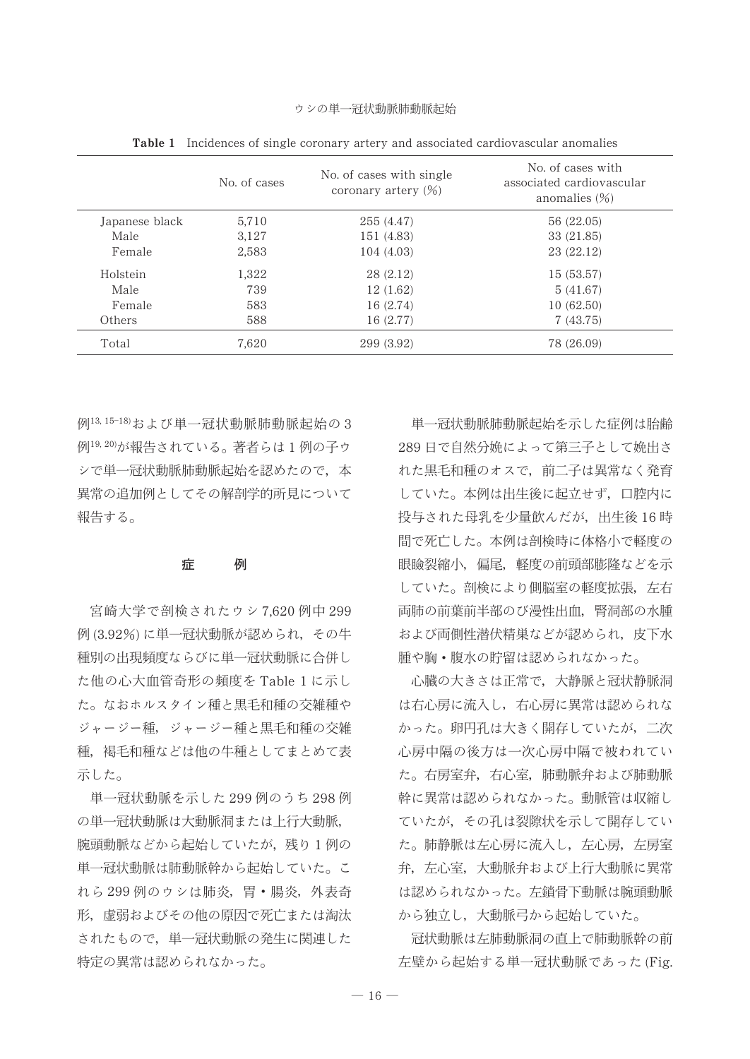|                | No. of cases | No. of cases with single<br>coronary artery $(\%)$ | No. of cases with<br>associated cardiovascular<br>anomalies $(\frac{1}{0})$ |
|----------------|--------------|----------------------------------------------------|-----------------------------------------------------------------------------|
| Japanese black | 5.710        | 255 (4.47)                                         | 56 (22.05)                                                                  |
| Male           | 3.127        | 151 (4.83)                                         | 33 (21.85)                                                                  |
| Female         | 2.583        | 104 (4.03)                                         | 23 (22.12)                                                                  |
| Holstein       | 1,322        | 28(2.12)                                           | 15 (53.57)                                                                  |
| Male           | 739          | 12(1.62)                                           | 5(41.67)                                                                    |
| Female         | 583          | 16 (2.74)                                          | 10(62.50)                                                                   |
| Others         | 588          | 16 (2.77)                                          | 7(43.75)                                                                    |
| Total          | 7.620        | 299 (3.92)                                         | 78 (26.09)                                                                  |

**Table 1** Incidences of single coronary artery and associated cardiovascular anomalies

例13,15-18)および単一冠状動脈肺動脈起始の3 例19,20)が報告されている。著者らは1例の子ウ シで単一冠状動脈肺動脈起始を認めたので、本 異常の追加例としてその解剖学的所見について 報告する。

#### 症 例

宮崎大学で剖検されたウシ7,620例中299 例(3.92%)に単一冠状動脈が認められ、その牛 種別の出現頻度ならびに単一冠状動脈に合併し た他の心大血管奇形の頻度を Table 1 に示し た。なおホルスタイン種と黒毛和種の交雑種や ジャージー種、ジャージー種と黒毛和種の交雑 種、褐毛和種などは他の牛種としてまとめて表 示した。

単一冠状動脈を示した299例のうち298例 の単一冠状動脈は大動脈洞または上行大動脈, 腕頭動脈などから起始していたが、残り1例の 単一冠状動脈は肺動脈幹から起始していた。こ れら299例のウシは肺炎、胃・腸炎、外表奇 形、虚弱およびその他の原因で死亡または淘汰 されたもので、単一冠状動脈の発生に関連した 特定の異常は認められなかった。

単一冠状動脈肺動脈起始を示した症例は胎齢 289日で自然分娩によって第三子として娩出さ れた黒毛和種のオスで、前二子は異常なく発育 していた。本例は出生後に起立せず、口腔内に 投与された母乳を少量飲んだが、出生後16時 間で死亡した。本例は剖検時に体格小で軽度の 眼瞼裂縮小、偏尾、軽度の前頭部膨隆などを示 していた。剖検により側脳室の軽度拡張、左右 両肺の前葉前半部のび漫性出血、腎洞部の水腫 および両側性潜伏精巣などが認められ、皮下水 腫や胸・腹水の貯留は認められなかった。

心臓の大きさは正常で、大静脈と冠状静脈洞 は右心房に流入し、右心房に異常は認められな かった。卵円孔は大きく開存していたが、二次 心房中隔の後方は一次心房中隔で被われてい た。右房室弁,右心室,肺動脈弁および肺動脈 幹に異常は認められなかった。動脈管は収縮し ていたが、その孔は裂隙状を示して開存してい た。肺静脈は左心房に流入し、左心房、左房室 弁,左心室,大動脈弁および上行大動脈に異常 は認められなかった。左鎖骨下動脈は腕頭動脈 から独立し、大動脈弓から起始していた。

冠状動脈は左肺動脈洞の直上で肺動脈幹の前 左壁から起始する単一冠状動脈であった(Fig.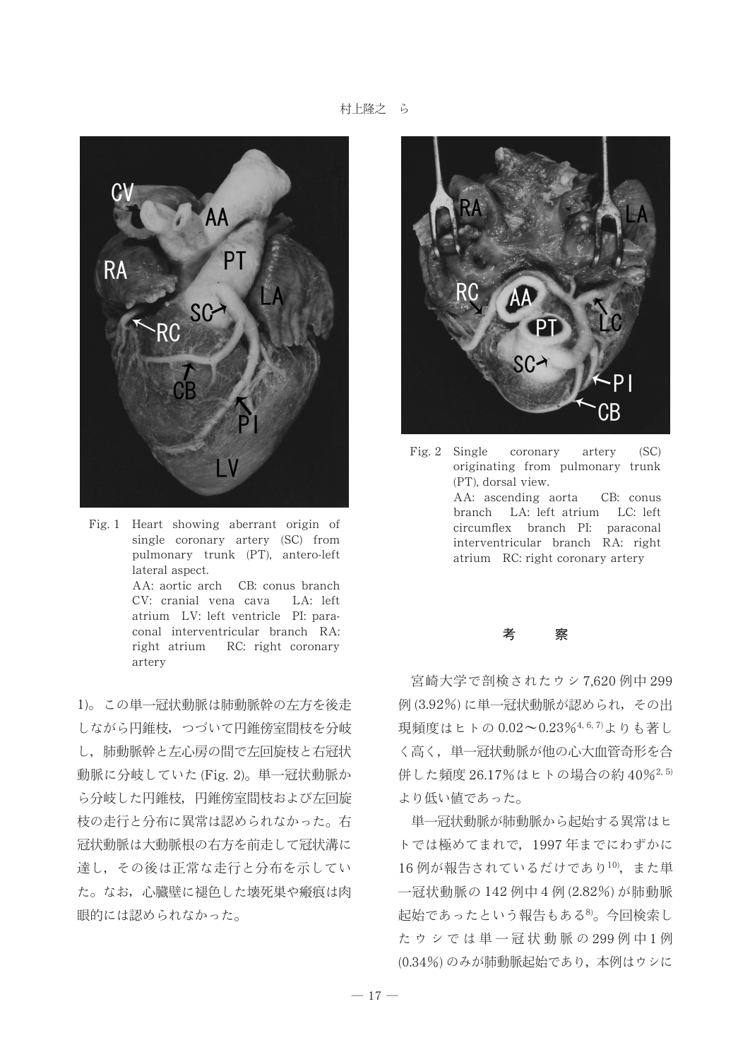村上隆之 ら



Fig. 1 Heart showing aberrant origin of single coronary artery (SC) from pulmonary trunk (PT), antero-left lateral aspect. AA: aortic arch CB: conus branch CV: cranial vena cava LA: left atrium LV: left ventricle PI: paraconal interventricular branch RA: right atrium RC: right coronary artery

1)。この単一冠状動脈は肺動脈幹の左方を後走 しながら円錐枝、つづいて円錐傍室間枝を分岐 し、肺動脈幹と左心房の間で左回旋枝と右冠状 動脈に分岐していた (Fig. 2)。単一冠状動脈か ら分岐した円錐枝、円錐傍室間枝および左回旋 枝の走行と分布に異常は認められなかった。右 冠状動脈は大動脈根の右方を前走して冠状溝に 達し、その後は正常な走行と分布を示してい た。なお、心臓壁に褪色した壊死巣や瘢痕は肉 眼的には認められなかった。



Fig. 2 Single coronary artery (SC) originating from pulmonary trunk (PT), dorsal view. AA: ascending aorta CB: conus branch LA: left atrium LC: left circumflex branch PI: paraconal interventricular branch RA: right atrium RC: right coronary artery

### 考 察

宮崎大学で剖検されたウシ7,620 例中 299 例(3.92%)に単一冠状動脈が認められ、その出 現頻度はヒトの 0.02~0.23%4, 6, 7)よりも著し く高く、単一冠状動脈が他の心大血管奇形を合 併した頻度 26.17%はヒトの場合の約 40%2,5) より低い値であった。

単一冠状動脈が肺動脈から起始する異常はヒ トでは極めてまれで、1997年までにわずかに 16例が報告されているだけであり10), また単 一冠状動脈の 142 例中 4 例 (2.82%) が肺動脈 起始であったという報告もある<sup>8)</sup>。今回検索し たウシでは単一冠状動脈の299例中1例 (0.34%) のみが肺動脈起始であり、本例はウシに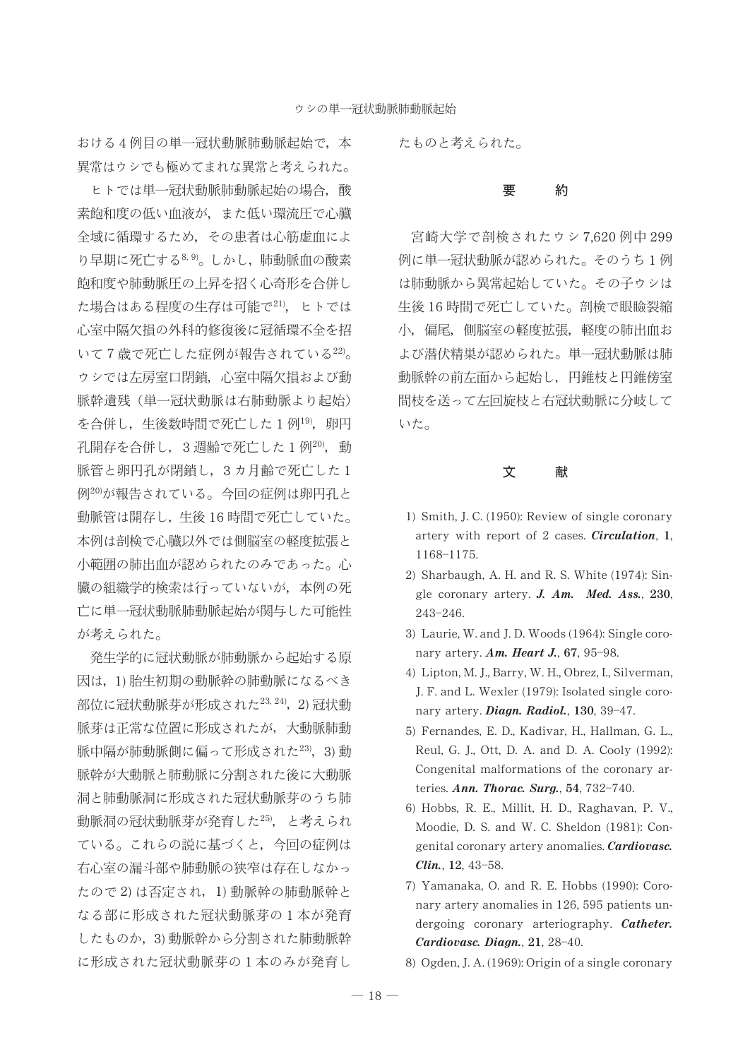おける4例目の単一冠状動脈肺動脈起始で、本 異常はウシでも極めてまれな異常と考えられた。

ヒトでは単一冠状動脈肺動脈起始の場合、酸 素飽和度の低い血液が、また低い環流圧で心臓 全域に循環するため、その患者は心筋虚血によ り早期に死亡する8,9)。しかし、肺動脈血の酸素 飽和度や肺動脈圧の上昇を招く心奇形を合併し た場合はある程度の生存は可能で21)、ヒトでは 心室中隔欠損の外科的修復後に冠循環不全を招 いて7歳で死亡した症例が報告されている22)。 ウシでは左房室口閉鎖,心室中隔欠損および動 脈幹遺残(単一冠状動脈は右肺動脈より起始) を合併し,生後数時間で死亡した1例<sup>19)</sup>, 卵円 孔開存を合併し、3週齢で死亡した1例20), 動 脈管と卵円孔が閉鎖し、3カ月齢で死亡した1 例20)が報告されている。今回の症例は卵円孔と 動脈管は開存し、生後16時間で死亡していた。 本例は剖検で心臓以外では側脳室の軽度拡張と 小範囲の肺出血が認められたのみであった。心 臓の組織学的検索は行っていないが、本例の死 亡に単一冠状動脈肺動脈起始が関与した可能性 が考えられた。

発生学的に冠状動脈が肺動脈から起始する原 因は、1)胎生初期の動脈幹の肺動脈になるべき 部位に冠状動脈芽が形成された23,24), 2)冠状動 脈芽は正常な位置に形成されたが、大動脈肺動 脈中隔が肺動脈側に偏って形成された23), 3)動 脈幹が大動脈と肺動脈に分割された後に大動脈 洞と肺動脈洞に形成された冠状動脈芽のうち肺 動脈洞の冠状動脈芽が発育した25), と考えられ ている。これらの説に基づくと、今回の症例は 右心室の漏斗部や肺動脈の狭窄は存在しなかっ たので2)は否定され、1)動脈幹の肺動脈幹と なる部に形成された冠状動脈芽の1本が発育 したものか、3)動脈幹から分割された肺動脈幹 に形成された冠状動脈芽の1本のみが発育し

たものと考えられた。

#### 約 要

宮崎大学で剖検されたウシ7.620例中299 例に単一冠状動脈が認められた。そのうち1例 は肺動脈から異常起始していた。その子ウシは 生後16時間で死亡していた。剖検で眼瞼裂縮 小、偏尾、側脳室の軽度拡張、軽度の肺出血お よび潜伏精巣が認められた。単一冠状動脈は肺 動脈幹の前左面から起始し,円錐枝と円錐傍室 間枝を送って左回旋枝と右冠状動脈に分岐して いた。

> 文 献

- 1) Smith, J. C. (1950): Review of single coronary artery with report of 2 cases. *Circulation*, 1, 1168-1175.
- 2) Sharbaugh, A. H. and R. S. White (1974): Single coronary artery. J. Am. Med. Ass., 230, 243-246.
- 3) Laurie, W. and J. D. Woods (1964): Single coronary artery. Am. Heart J., 67, 95-98.
- 4) Lipton, M. J., Barry, W. H., Obrez, I., Silverman, J. F. and L. Wexler (1979): Isolated single coronary artery. Diagn. Radiol., 130, 39-47.
- 5) Fernandes, E. D., Kadivar, H., Hallman, G. L., Reul, G. J., Ott, D. A. and D. A. Cooly (1992): Congenital malformations of the coronary arteries. Ann. Thorac. Surg., 54, 732-740.
- 6) Hobbs, R. E., Millit, H. D., Raghavan, P. V., Moodie, D. S. and W. C. Sheldon (1981): Congenital coronary artery anomalies. Cardiovasc. Clin., 12, 43-58.
- 7) Yamanaka, O. and R. E. Hobbs (1990): Coronary artery anomalies in 126, 595 patients undergoing coronary arteriography. Catheter. Cardiovasc. Diagn., 21, 28-40.
- 8) Ogden, J. A. (1969): Origin of a single coronary